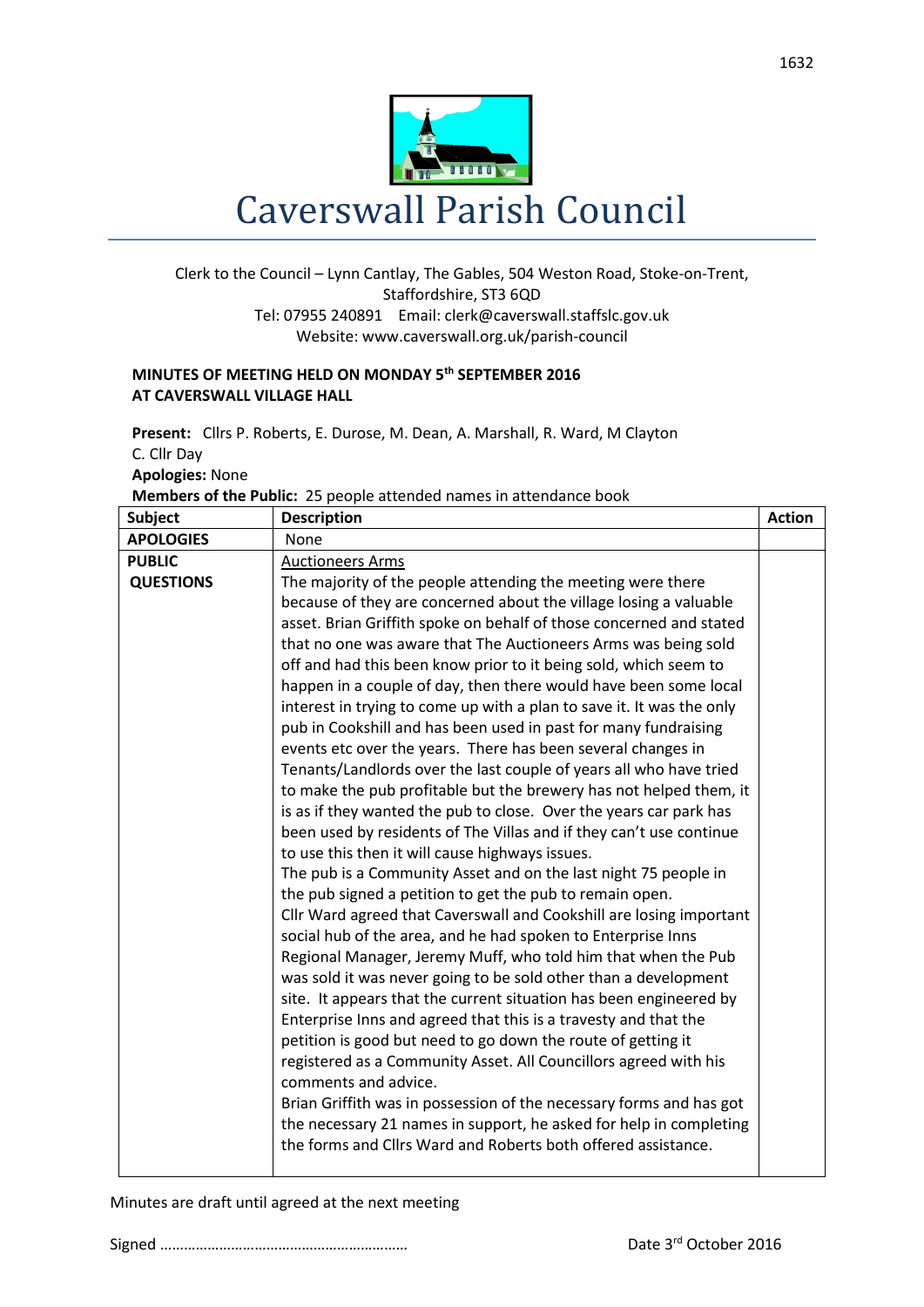

## Clerk to the Council – Lynn Cantlay, The Gables, 504 Weston Road, Stoke-on-Trent, Staffordshire, ST3 6QD Tel: 07955 240891 Email[: clerk@caverswall.staffslc.gov.uk](mailto:clerk@caverswall.staffslc.gov.uk) Website: www.caverswall.org.uk/parish-council

## **MINUTES OF MEETING HELD ON MONDAY 5 th SEPTEMBER 2016 AT CAVERSWALL VILLAGE HALL**

**Present:** Cllrs P. Roberts, E. Durose, M. Dean, A. Marshall, R. Ward, M Clayton C. Cllr Day **Apologies:** None

**Members of the Public:** 25 people attended names in attendance book

| <b>APOLOGIES</b><br>None<br><b>PUBLIC</b><br><b>Auctioneers Arms</b><br><b>QUESTIONS</b><br>The majority of the people attending the meeting were there<br>because of they are concerned about the village losing a valuable<br>asset. Brian Griffith spoke on behalf of those concerned and stated<br>that no one was aware that The Auctioneers Arms was being sold<br>off and had this been know prior to it being sold, which seem to<br>happen in a couple of day, then there would have been some local<br>interest in trying to come up with a plan to save it. It was the only<br>pub in Cookshill and has been used in past for many fundraising<br>events etc over the years. There has been several changes in<br>Tenants/Landlords over the last couple of years all who have tried<br>to make the pub profitable but the brewery has not helped them, it<br>is as if they wanted the pub to close. Over the years car park has<br>been used by residents of The Villas and if they can't use continue<br>to use this then it will cause highways issues.<br>The pub is a Community Asset and on the last night 75 people in<br>the pub signed a petition to get the pub to remain open.<br>Cllr Ward agreed that Caverswall and Cookshill are losing important<br>social hub of the area, and he had spoken to Enterprise Inns<br>Regional Manager, Jeremy Muff, who told him that when the Pub<br>was sold it was never going to be sold other than a development<br>site. It appears that the current situation has been engineered by<br>Enterprise Inns and agreed that this is a travesty and that the<br>petition is good but need to go down the route of getting it<br>registered as a Community Asset. All Councillors agreed with his<br>comments and advice.<br>Brian Griffith was in possession of the necessary forms and has got<br>the necessary 21 names in support, he asked for help in completing<br>the forms and Cllrs Ward and Roberts both offered assistance. | <b>Subject</b> | <b>Description</b> | <b>Action</b> |
|----------------------------------------------------------------------------------------------------------------------------------------------------------------------------------------------------------------------------------------------------------------------------------------------------------------------------------------------------------------------------------------------------------------------------------------------------------------------------------------------------------------------------------------------------------------------------------------------------------------------------------------------------------------------------------------------------------------------------------------------------------------------------------------------------------------------------------------------------------------------------------------------------------------------------------------------------------------------------------------------------------------------------------------------------------------------------------------------------------------------------------------------------------------------------------------------------------------------------------------------------------------------------------------------------------------------------------------------------------------------------------------------------------------------------------------------------------------------------------------------------------------------------------------------------------------------------------------------------------------------------------------------------------------------------------------------------------------------------------------------------------------------------------------------------------------------------------------------------------------------------------------------------------------------------------------------------------------------------------------------------|----------------|--------------------|---------------|
|                                                                                                                                                                                                                                                                                                                                                                                                                                                                                                                                                                                                                                                                                                                                                                                                                                                                                                                                                                                                                                                                                                                                                                                                                                                                                                                                                                                                                                                                                                                                                                                                                                                                                                                                                                                                                                                                                                                                                                                                    |                |                    |               |
|                                                                                                                                                                                                                                                                                                                                                                                                                                                                                                                                                                                                                                                                                                                                                                                                                                                                                                                                                                                                                                                                                                                                                                                                                                                                                                                                                                                                                                                                                                                                                                                                                                                                                                                                                                                                                                                                                                                                                                                                    |                |                    |               |
|                                                                                                                                                                                                                                                                                                                                                                                                                                                                                                                                                                                                                                                                                                                                                                                                                                                                                                                                                                                                                                                                                                                                                                                                                                                                                                                                                                                                                                                                                                                                                                                                                                                                                                                                                                                                                                                                                                                                                                                                    |                |                    |               |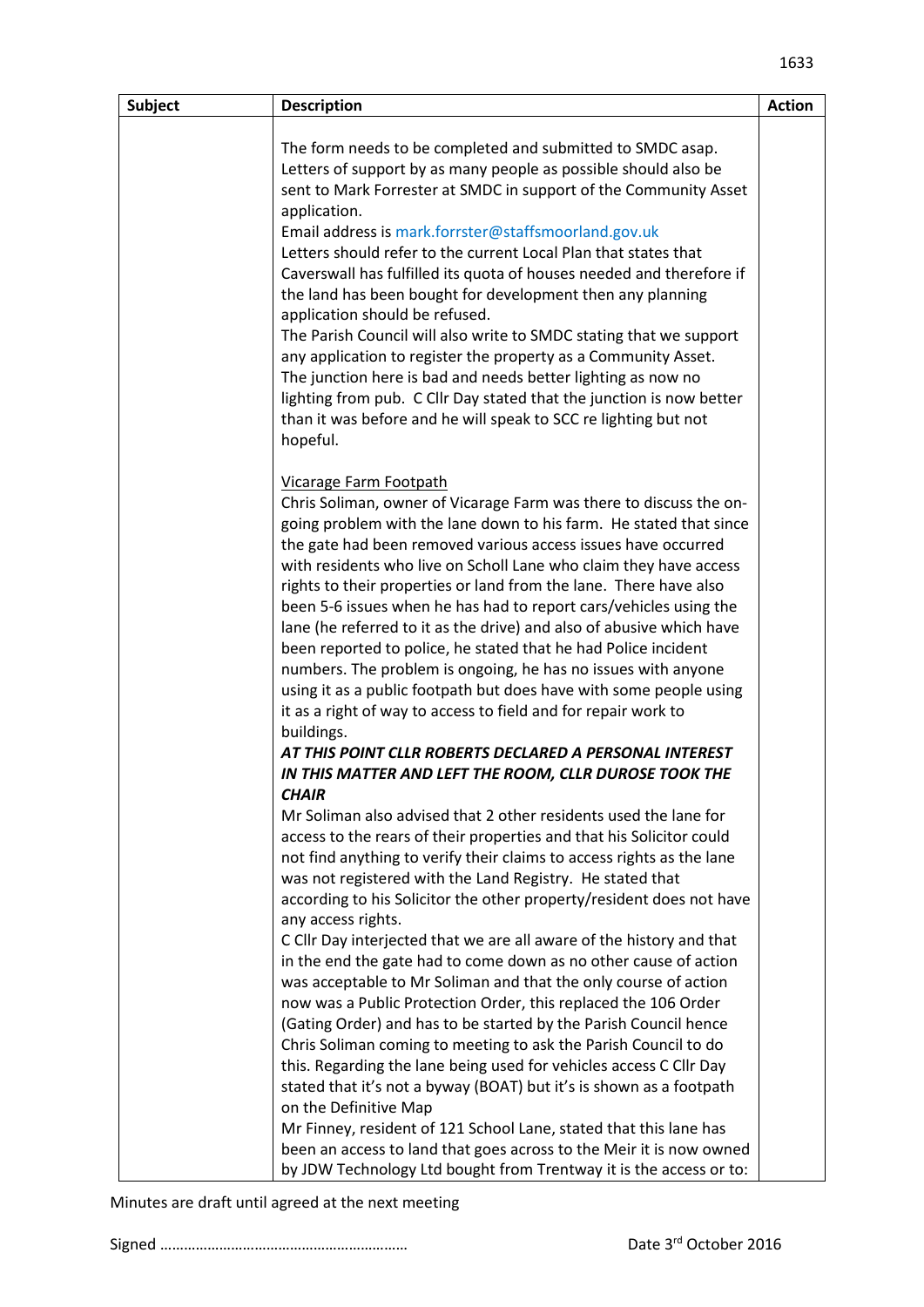| <b>Subject</b> | <b>Description</b>                                                                           | <b>Action</b> |
|----------------|----------------------------------------------------------------------------------------------|---------------|
|                |                                                                                              |               |
|                | The form needs to be completed and submitted to SMDC asap.                                   |               |
|                | Letters of support by as many people as possible should also be                              |               |
|                | sent to Mark Forrester at SMDC in support of the Community Asset                             |               |
|                | application.                                                                                 |               |
|                | Email address is mark.forrster@staffsmoorland.gov.uk                                         |               |
|                | Letters should refer to the current Local Plan that states that                              |               |
|                | Caverswall has fulfilled its quota of houses needed and therefore if                         |               |
|                | the land has been bought for development then any planning<br>application should be refused. |               |
|                | The Parish Council will also write to SMDC stating that we support                           |               |
|                | any application to register the property as a Community Asset.                               |               |
|                | The junction here is bad and needs better lighting as now no                                 |               |
|                | lighting from pub. C Cllr Day stated that the junction is now better                         |               |
|                | than it was before and he will speak to SCC re lighting but not                              |               |
|                | hopeful.                                                                                     |               |
|                |                                                                                              |               |
|                | Vicarage Farm Footpath                                                                       |               |
|                | Chris Soliman, owner of Vicarage Farm was there to discuss the on-                           |               |
|                | going problem with the lane down to his farm. He stated that since                           |               |
|                | the gate had been removed various access issues have occurred                                |               |
|                | with residents who live on Scholl Lane who claim they have access                            |               |
|                | rights to their properties or land from the lane. There have also                            |               |
|                | been 5-6 issues when he has had to report cars/vehicles using the                            |               |
|                | lane (he referred to it as the drive) and also of abusive which have                         |               |
|                | been reported to police, he stated that he had Police incident                               |               |
|                | numbers. The problem is ongoing, he has no issues with anyone                                |               |
|                | using it as a public footpath but does have with some people using                           |               |
|                | it as a right of way to access to field and for repair work to                               |               |
|                | buildings.                                                                                   |               |
|                | AT THIS POINT CLLR ROBERTS DECLARED A PERSONAL INTEREST                                      |               |
|                | IN THIS MATTER AND LEFT THE ROOM, CLLR DUROSE TOOK THE                                       |               |
|                | <b>CHAIR</b>                                                                                 |               |
|                | Mr Soliman also advised that 2 other residents used the lane for                             |               |
|                | access to the rears of their properties and that his Solicitor could                         |               |
|                | not find anything to verify their claims to access rights as the lane                        |               |
|                | was not registered with the Land Registry. He stated that                                    |               |
|                | according to his Solicitor the other property/resident does not have                         |               |
|                | any access rights.                                                                           |               |
|                | C Cllr Day interjected that we are all aware of the history and that                         |               |
|                | in the end the gate had to come down as no other cause of action                             |               |
|                | was acceptable to Mr Soliman and that the only course of action                              |               |
|                |                                                                                              |               |
|                | now was a Public Protection Order, this replaced the 106 Order                               |               |
|                | (Gating Order) and has to be started by the Parish Council hence                             |               |
|                | Chris Soliman coming to meeting to ask the Parish Council to do                              |               |
|                | this. Regarding the lane being used for vehicles access C Cllr Day                           |               |
|                | stated that it's not a byway (BOAT) but it's is shown as a footpath                          |               |
|                | on the Definitive Map                                                                        |               |
|                | Mr Finney, resident of 121 School Lane, stated that this lane has                            |               |
|                | been an access to land that goes across to the Meir it is now owned                          |               |
|                | by JDW Technology Ltd bought from Trentway it is the access or to:                           |               |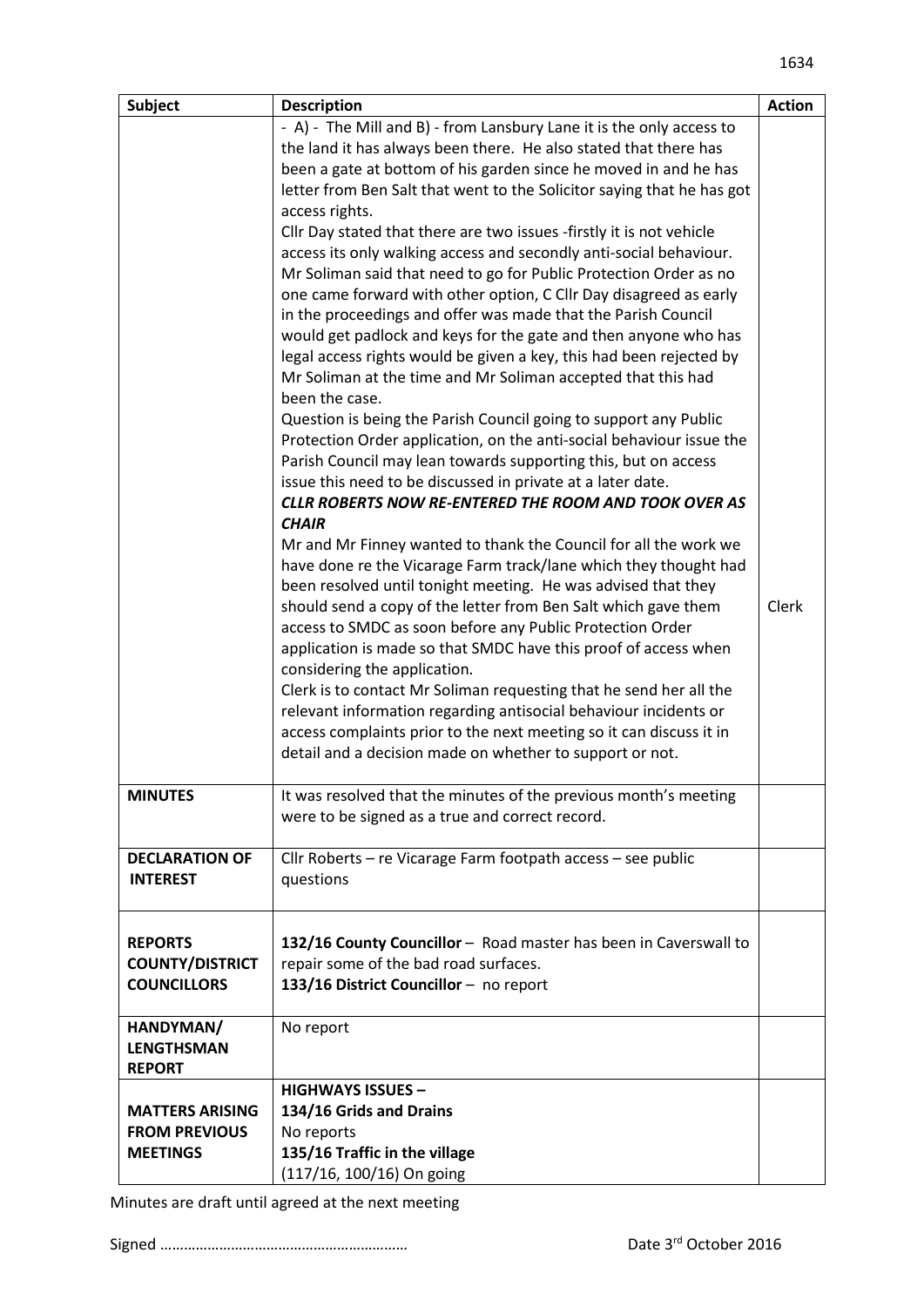| <b>Subject</b>         | <b>Description</b>                                                     | <b>Action</b> |
|------------------------|------------------------------------------------------------------------|---------------|
|                        | - A) - The Mill and B) - from Lansbury Lane it is the only access to   |               |
|                        | the land it has always been there. He also stated that there has       |               |
|                        | been a gate at bottom of his garden since he moved in and he has       |               |
|                        | letter from Ben Salt that went to the Solicitor saying that he has got |               |
|                        | access rights.                                                         |               |
|                        | Cllr Day stated that there are two issues -firstly it is not vehicle   |               |
|                        | access its only walking access and secondly anti-social behaviour.     |               |
|                        | Mr Soliman said that need to go for Public Protection Order as no      |               |
|                        | one came forward with other option, C Cllr Day disagreed as early      |               |
|                        | in the proceedings and offer was made that the Parish Council          |               |
|                        | would get padlock and keys for the gate and then anyone who has        |               |
|                        | legal access rights would be given a key, this had been rejected by    |               |
|                        | Mr Soliman at the time and Mr Soliman accepted that this had           |               |
|                        | been the case.                                                         |               |
|                        | Question is being the Parish Council going to support any Public       |               |
|                        | Protection Order application, on the anti-social behaviour issue the   |               |
|                        | Parish Council may lean towards supporting this, but on access         |               |
|                        | issue this need to be discussed in private at a later date.            |               |
|                        | <b>CLLR ROBERTS NOW RE-ENTERED THE ROOM AND TOOK OVER AS</b>           |               |
|                        | <b>CHAIR</b>                                                           |               |
|                        | Mr and Mr Finney wanted to thank the Council for all the work we       |               |
|                        | have done re the Vicarage Farm track/lane which they thought had       |               |
|                        | been resolved until tonight meeting. He was advised that they          |               |
|                        | should send a copy of the letter from Ben Salt which gave them         | Clerk         |
|                        | access to SMDC as soon before any Public Protection Order              |               |
|                        | application is made so that SMDC have this proof of access when        |               |
|                        | considering the application.                                           |               |
|                        | Clerk is to contact Mr Soliman requesting that he send her all the     |               |
|                        | relevant information regarding antisocial behaviour incidents or       |               |
|                        | access complaints prior to the next meeting so it can discuss it in    |               |
|                        | detail and a decision made on whether to support or not.               |               |
|                        |                                                                        |               |
| <b>MINUTES</b>         | It was resolved that the minutes of the previous month's meeting       |               |
|                        | were to be signed as a true and correct record.                        |               |
|                        |                                                                        |               |
| <b>DECLARATION OF</b>  | Cllr Roberts - re Vicarage Farm footpath access - see public           |               |
| <b>INTEREST</b>        | questions                                                              |               |
|                        |                                                                        |               |
|                        |                                                                        |               |
| <b>REPORTS</b>         | 132/16 County Councillor - Road master has been in Caverswall to       |               |
| <b>COUNTY/DISTRICT</b> | repair some of the bad road surfaces.                                  |               |
| <b>COUNCILLORS</b>     | 133/16 District Councillor - no report                                 |               |
|                        |                                                                        |               |
| HANDYMAN/              | No report                                                              |               |
| <b>LENGTHSMAN</b>      |                                                                        |               |
| <b>REPORT</b>          |                                                                        |               |
|                        | <b>HIGHWAYS ISSUES -</b>                                               |               |
| <b>MATTERS ARISING</b> | 134/16 Grids and Drains                                                |               |
| <b>FROM PREVIOUS</b>   | No reports                                                             |               |
| <b>MEETINGS</b>        | 135/16 Traffic in the village                                          |               |
|                        | (117/16, 100/16) On going                                              |               |

Minutes are draft until agreed at the next meeting

Signed ……………………………………………………… Date 3rd October 2016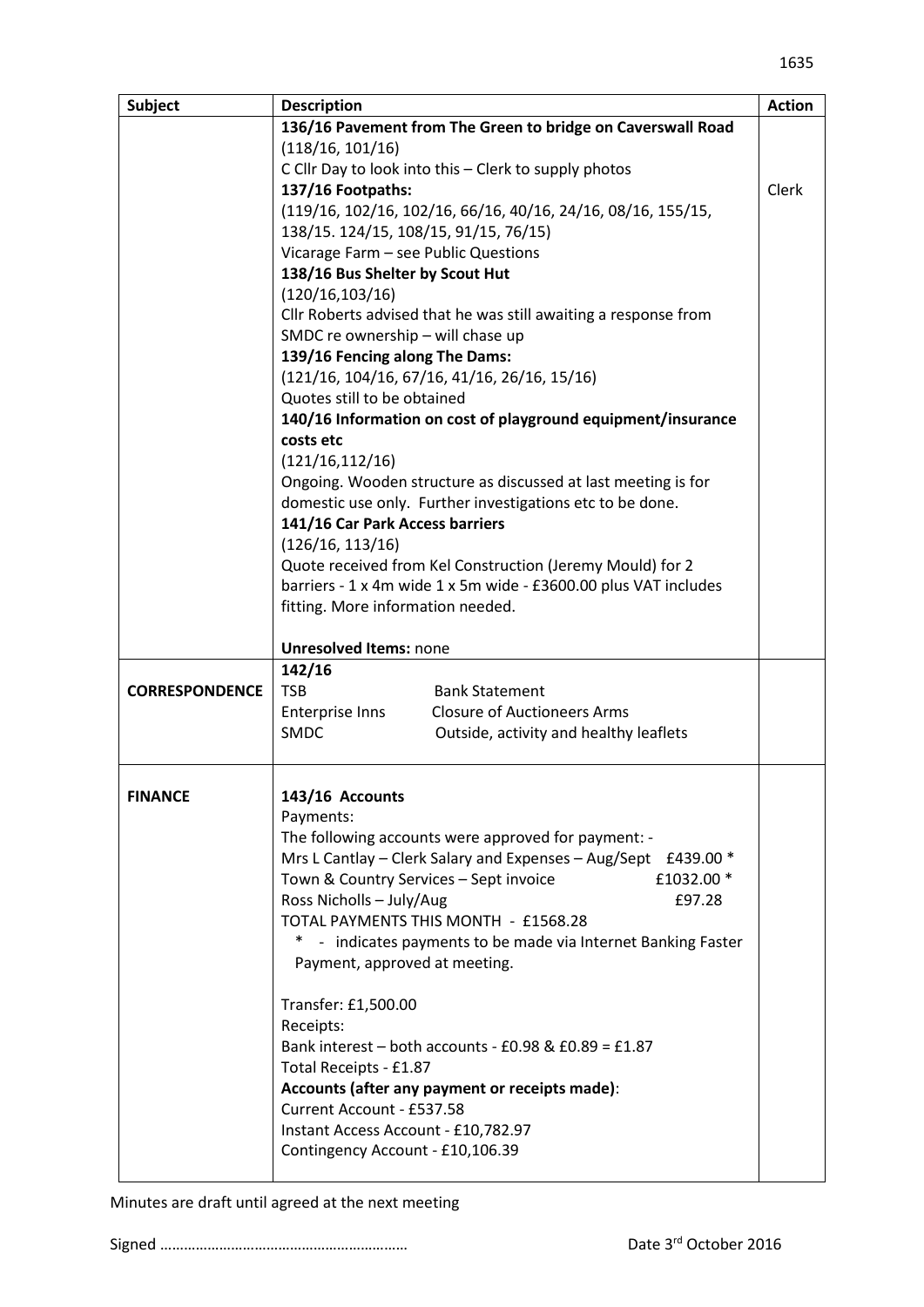| <b>Subject</b>        | <b>Description</b>                                                                                                           | <b>Action</b> |
|-----------------------|------------------------------------------------------------------------------------------------------------------------------|---------------|
|                       | 136/16 Pavement from The Green to bridge on Caverswall Road                                                                  |               |
|                       | (118/16, 101/16)                                                                                                             |               |
|                       | C Cllr Day to look into this - Clerk to supply photos                                                                        |               |
|                       | 137/16 Footpaths:                                                                                                            | Clerk         |
|                       | (119/16, 102/16, 102/16, 66/16, 40/16, 24/16, 08/16, 155/15,                                                                 |               |
|                       | 138/15. 124/15, 108/15, 91/15, 76/15)                                                                                        |               |
|                       | Vicarage Farm - see Public Questions                                                                                         |               |
|                       | 138/16 Bus Shelter by Scout Hut                                                                                              |               |
|                       | (120/16, 103/16)                                                                                                             |               |
|                       | Cllr Roberts advised that he was still awaiting a response from                                                              |               |
|                       | SMDC re ownership - will chase up                                                                                            |               |
|                       | 139/16 Fencing along The Dams:                                                                                               |               |
|                       | $(121/16, 104/16, 67/16, 41/16, 26/16, 15/16)$                                                                               |               |
|                       | Quotes still to be obtained                                                                                                  |               |
|                       | 140/16 Information on cost of playground equipment/insurance                                                                 |               |
|                       | costs etc                                                                                                                    |               |
|                       | (121/16, 112/16)                                                                                                             |               |
|                       | Ongoing. Wooden structure as discussed at last meeting is for                                                                |               |
|                       | domestic use only. Further investigations etc to be done.                                                                    |               |
|                       | 141/16 Car Park Access barriers                                                                                              |               |
|                       | (126/16, 113/16)                                                                                                             |               |
|                       | Quote received from Kel Construction (Jeremy Mould) for 2<br>barriers - 1 x 4m wide 1 x 5m wide - £3600.00 plus VAT includes |               |
|                       | fitting. More information needed.                                                                                            |               |
|                       |                                                                                                                              |               |
|                       | <b>Unresolved Items: none</b>                                                                                                |               |
|                       | 142/16                                                                                                                       |               |
| <b>CORRESPONDENCE</b> | <b>TSB</b><br><b>Bank Statement</b>                                                                                          |               |
|                       | <b>Closure of Auctioneers Arms</b><br>Enterprise Inns                                                                        |               |
|                       | <b>SMDC</b><br>Outside, activity and healthy leaflets                                                                        |               |
|                       |                                                                                                                              |               |
| <b>FINANCE</b>        | 143/16 Accounts                                                                                                              |               |
|                       | Payments:                                                                                                                    |               |
|                       | The following accounts were approved for payment: -                                                                          |               |
|                       | Mrs L Cantlay - Clerk Salary and Expenses - Aug/Sept £439.00 *                                                               |               |
|                       | Town & Country Services - Sept invoice<br>£1032.00 *                                                                         |               |
|                       | Ross Nicholls - July/Aug<br>£97.28                                                                                           |               |
|                       | TOTAL PAYMENTS THIS MONTH - £1568.28                                                                                         |               |
|                       | - indicates payments to be made via Internet Banking Faster<br>$\ast$                                                        |               |
|                       | Payment, approved at meeting.                                                                                                |               |
|                       | Transfer: £1,500.00                                                                                                          |               |
|                       | Receipts:                                                                                                                    |               |
|                       | Bank interest – both accounts - £0.98 & £0.89 = £1.87                                                                        |               |
|                       | Total Receipts - £1.87                                                                                                       |               |
|                       | Accounts (after any payment or receipts made):                                                                               |               |
|                       | Current Account - £537.58                                                                                                    |               |
|                       | Instant Access Account - £10,782.97                                                                                          |               |
|                       | Contingency Account - £10,106.39                                                                                             |               |
|                       |                                                                                                                              |               |

## Minutes are draft until agreed at the next meeting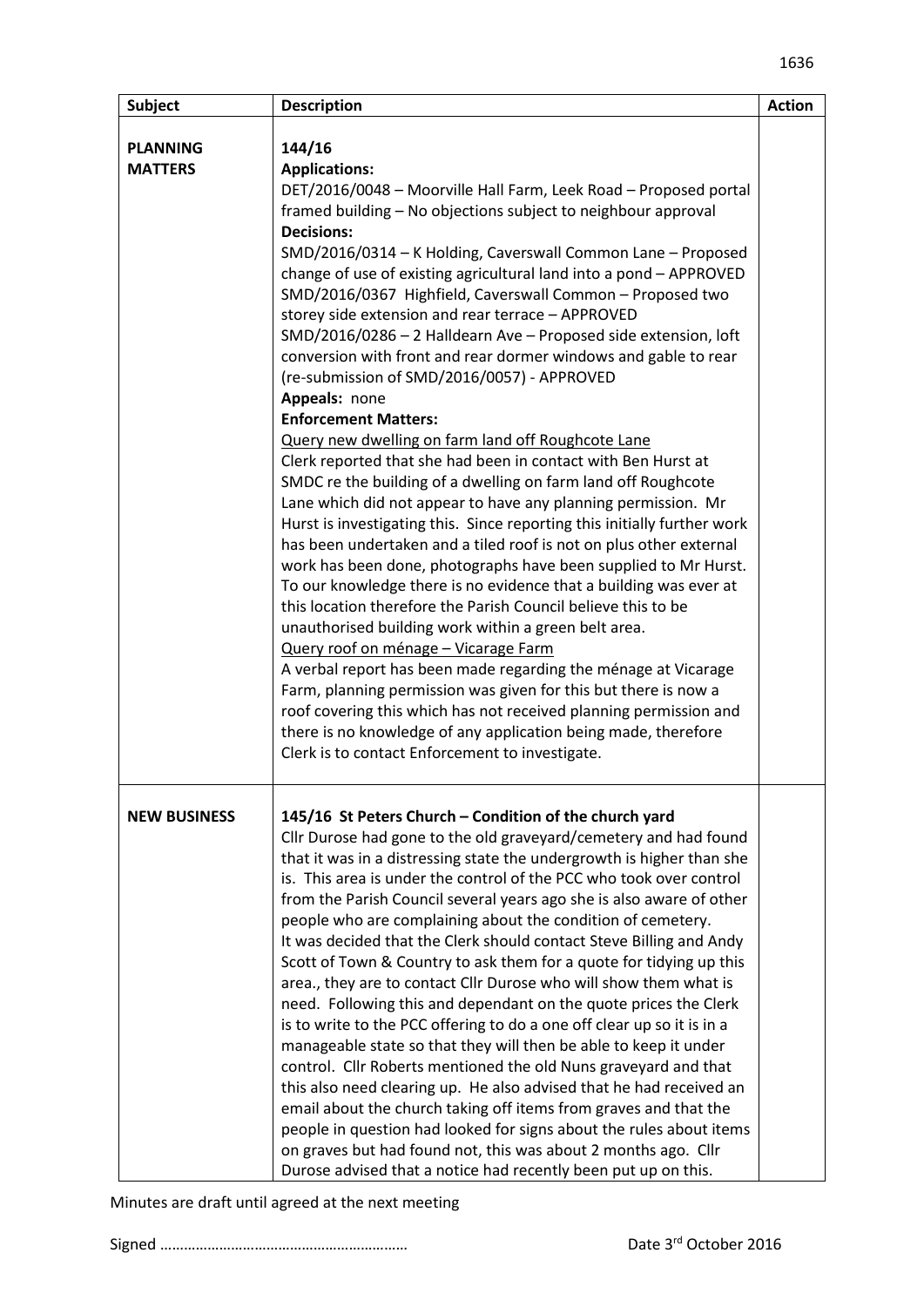| <b>Subject</b>                    | <b>Description</b>                                                                                                                                                                                                                                                                                                                                                                                                                                                                                                                                                                                                                                                                                                                                                                                                                                                                                                                                                                                                                                                                                                                                                                                                                                                                                                                                                                                                                                                                                                                                                                                                                                                                                                                       | <b>Action</b> |
|-----------------------------------|------------------------------------------------------------------------------------------------------------------------------------------------------------------------------------------------------------------------------------------------------------------------------------------------------------------------------------------------------------------------------------------------------------------------------------------------------------------------------------------------------------------------------------------------------------------------------------------------------------------------------------------------------------------------------------------------------------------------------------------------------------------------------------------------------------------------------------------------------------------------------------------------------------------------------------------------------------------------------------------------------------------------------------------------------------------------------------------------------------------------------------------------------------------------------------------------------------------------------------------------------------------------------------------------------------------------------------------------------------------------------------------------------------------------------------------------------------------------------------------------------------------------------------------------------------------------------------------------------------------------------------------------------------------------------------------------------------------------------------------|---------------|
| <b>PLANNING</b><br><b>MATTERS</b> | 144/16<br><b>Applications:</b><br>DET/2016/0048 - Moorville Hall Farm, Leek Road - Proposed portal<br>framed building - No objections subject to neighbour approval<br><b>Decisions:</b><br>SMD/2016/0314 - K Holding, Caverswall Common Lane - Proposed<br>change of use of existing agricultural land into a pond - APPROVED<br>SMD/2016/0367 Highfield, Caverswall Common - Proposed two<br>storey side extension and rear terrace - APPROVED<br>SMD/2016/0286 - 2 Halldearn Ave - Proposed side extension, loft<br>conversion with front and rear dormer windows and gable to rear<br>(re-submission of SMD/2016/0057) - APPROVED<br>Appeals: none<br><b>Enforcement Matters:</b><br>Query new dwelling on farm land off Roughcote Lane<br>Clerk reported that she had been in contact with Ben Hurst at<br>SMDC re the building of a dwelling on farm land off Roughcote<br>Lane which did not appear to have any planning permission. Mr<br>Hurst is investigating this. Since reporting this initially further work<br>has been undertaken and a tiled roof is not on plus other external<br>work has been done, photographs have been supplied to Mr Hurst.<br>To our knowledge there is no evidence that a building was ever at<br>this location therefore the Parish Council believe this to be<br>unauthorised building work within a green belt area.<br>Query roof on ménage - Vicarage Farm<br>A verbal report has been made regarding the ménage at Vicarage<br>Farm, planning permission was given for this but there is now a<br>roof covering this which has not received planning permission and<br>there is no knowledge of any application being made, therefore<br>Clerk is to contact Enforcement to investigate. |               |
| <b>NEW BUSINESS</b>               | 145/16 St Peters Church - Condition of the church yard<br>Cllr Durose had gone to the old graveyard/cemetery and had found<br>that it was in a distressing state the undergrowth is higher than she<br>is. This area is under the control of the PCC who took over control<br>from the Parish Council several years ago she is also aware of other<br>people who are complaining about the condition of cemetery.<br>It was decided that the Clerk should contact Steve Billing and Andy<br>Scott of Town & Country to ask them for a quote for tidying up this<br>area., they are to contact Cllr Durose who will show them what is<br>need. Following this and dependant on the quote prices the Clerk<br>is to write to the PCC offering to do a one off clear up so it is in a<br>manageable state so that they will then be able to keep it under<br>control. Cllr Roberts mentioned the old Nuns graveyard and that<br>this also need clearing up. He also advised that he had received an<br>email about the church taking off items from graves and that the<br>people in question had looked for signs about the rules about items<br>on graves but had found not, this was about 2 months ago. Cllr<br>Durose advised that a notice had recently been put up on this.                                                                                                                                                                                                                                                                                                                                                                                                                                                          |               |

Minutes are draft until agreed at the next meeting